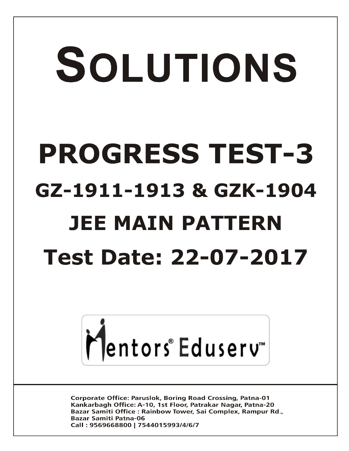# SOLUTIONS **PROGRESS TEST-3 GZ-1911-1913 & GZK-1904 JEE MAIN PATTERN Test Date: 22-07-2017**



**Corporate Office: Paruslok, Boring Road Crossing, Patna-01** Kankarbagh Office: A-10, 1st Floor, Patrakar Nagar, Patna-20 Bazar Samiti Office: Rainbow Tower, Sai Complex, Rampur Rd., **Bazar Samiti Patna-06** Call: 9569668800 | 7544015993/4/6/7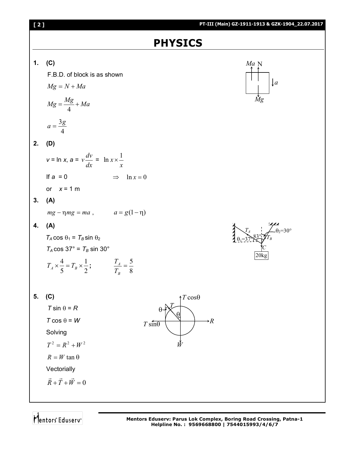

Mentors Eduserv<sup>-</sup>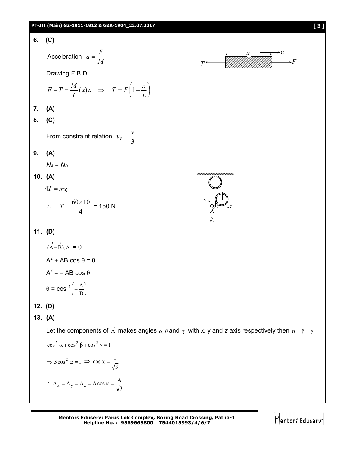## **PT-III (Main) GZ-1911-1913 & GZK-1904\_22.07.2017 [ 3 ]**

6. (C)  
\nAcceleration 
$$
a = \frac{F}{M}
$$
  
\nDrawing F.B.D.  
\n $F - T = \frac{M}{L}(x)a \Rightarrow T = F(1 - \frac{x}{L})$   
\n7. (A)  
\n8. (C)  
\nFrom constraint relation  $v_s = \frac{v}{3}$   
\n9. (A)  
\n $N_A = N_B$   
\n10. (A)  
\n $4T = mg$   
\n $\therefore T = \frac{60 \times 10}{4} = 150 N$   
\n11. (D)  
\n $(\lambda + B) \cdot \lambda = 0$   
\n $A^2 + AB \cos \theta = 0$   
\n $A^2 = -AB \cos \theta$   
\n $0 = \cos^{-1}(-\frac{\Lambda}{B})$   
\n12. (D)  
\n13. (A)  
\nLet the components of  $\overrightarrow{\Lambda}$  makes angles  $\alpha, \mu$  and  $\gamma$  with  $x, y$  and  $z$  axis respectively then  $\alpha = \beta = \gamma$   
\n $\cos^2 \alpha + \cos^2 \beta + \cos^2 \gamma = 1$   
\n $\Rightarrow 3\cos^2 \alpha = 1 \Rightarrow \cos \alpha = \frac{1}{\sqrt{3}}$   
\n $\therefore \Delta_x = A_y = A_z = A \cos \alpha = \frac{\Delta}{\sqrt{3}}$   
\n $\therefore \Delta_x = A_y = A_z = A \cos \alpha = \frac{\Delta}{\sqrt{3}}$ 

**Mentors Eduserv: Parus Lok Complex, Boring Road Crossing, Patna-1 Helpline No. : 9569668800 | 7544015993/4/6/7**

Mentors Eduserv<sup>-</sup>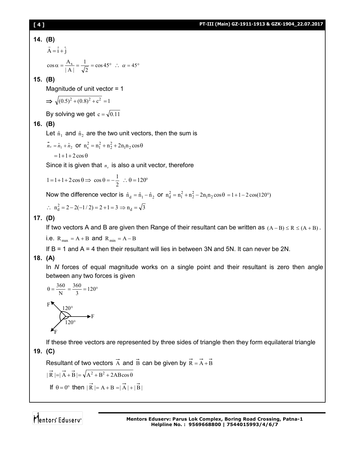## **[ 4 ] PT-III (Main) GZ-1911-1913 & GZK-1904\_22.07.2017**

## **14. (B)**

$$
\vec{A} = \hat{i} + \hat{j}
$$
  
\n
$$
\cos \alpha = \frac{A_x}{|A|} = \frac{1}{\sqrt{2}} = \cos 45^\circ \therefore \alpha = 45^\circ
$$

## **15. (B)**

Magnitude of unit vector = 1

$$
\Rightarrow \sqrt{(0.5)^2 + (0.8)^2 + c^2} = 1
$$

By solving we get  $c = \sqrt{0.11}$ 

## **16. (B)**

Let  $\hat{n}_1$  and  $\hat{n}_2$  are the two unit vectors, then the sum is

$$
\vec{n}_s = \hat{n}_1 + \hat{n}_2 \text{ or } n_s^2 = n_1^2 + n_2^2 + 2n_1n_2\cos\theta
$$

$$
=1+1+2\cos\theta
$$

Since it is given that  $n_s$  is also a unit vector, therefore

$$
1 = 1 + 1 + 2\cos\theta \Rightarrow \cos\theta = -\frac{1}{2} \therefore \theta = 120^{\circ}
$$

Now the difference vector is  $\hat{n}_d = \hat{n}_1 - \hat{n}_2$  or  $n_d^2 = n_1^2 + n_2^2 - 2n_1n_2\cos\theta = 1 + 1 - 2\cos(120^\circ)$ 

$$
\therefore n_d^2 = 2 - 2(-1/2) = 2 + 1 = 3 \implies n_d = \sqrt{3}
$$

## **17. (D)**

If two vectors A and B are given then Range of their resultant can be written as  $(A - B) \le R \le (A + B)$ .

i.e.  $R_{max} = A + B$  and  $R_{min} = A - B$ 

If  $B = 1$  and  $A = 4$  then their resultant will lies in between 3N and 5N. It can never be 2N.

## **18. (A)**

In *N* forces of equal magnitude works on a single point and their resultant is zero then angle between any two forces is given

$$
\theta = \frac{360}{N} = \frac{360}{3} = 120^{\circ}
$$
  
F  

$$
120^{\circ}
$$
  

$$
120^{\circ}
$$
  
F  

$$
120^{\circ}
$$

If these three vectors are represented by three sides of triangle then they form equilateral triangle

**19. (C)** 

Resultant of two vectors  $\vec{A}$  and  $\vec{B}$  can be given by  $\vec{R} = \vec{A} + \vec{B}$ 

$$
|\vec{R}| = |\vec{A} + \vec{B}| = \sqrt{A^2 + B^2 + 2AB\cos\theta}
$$

If  $\theta = 0^{\circ}$  then  $|\vec{R}| = A + B = |\vec{A}| + |\vec{B}|$ 

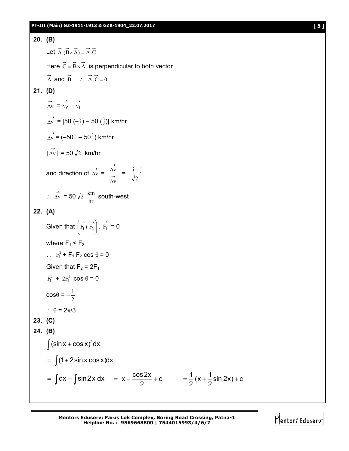

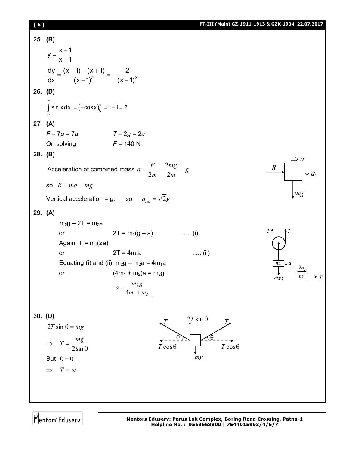# **[ 6 ] PT-III (Main) GZ-1911-1913 & GZK-1904\_22.07.2017**

| 25. (B)   |                                                                      |                                                                       |                    |
|-----------|----------------------------------------------------------------------|-----------------------------------------------------------------------|--------------------|
|           | $y = \frac{x+1}{x-1}$                                                |                                                                       |                    |
|           | $\frac{dy}{dx} = \frac{(x-1) - (x+1)}{(x-1)^2} = -\frac{2}{(x-1)^2}$ |                                                                       |                    |
| $26.$ (D) |                                                                      |                                                                       |                    |
|           | $\int_{0}^{\pi} \sin x dx = (-\cos x)_{0}^{\pi} = 1 + 1 = 2$         |                                                                       |                    |
| 27        | (A)                                                                  |                                                                       |                    |
|           | $F - 7g = 7a$ , $T - 2g = 2a$                                        |                                                                       |                    |
|           | On solving                                                           | $F = 140 N$                                                           |                    |
| 28. (B)   |                                                                      |                                                                       |                    |
|           |                                                                      | Acceleration of combined mass $a = \frac{F}{2m} = \frac{2mg}{2m} = g$ | $\boldsymbol{R}$   |
|           | so, $R = ma = mg$                                                    |                                                                       |                    |
|           | Vertical acceleration = g. so $a_{net} = \sqrt{2}g$                  |                                                                       | mg                 |
| 29. (A)   |                                                                      |                                                                       |                    |
|           | $m_2g - 2T = m_2a$                                                   |                                                                       |                    |
|           | or                                                                   | $2T = m_2(g - a)$ (i)                                                 |                    |
|           | Again, $T = m_1(2a)$                                                 |                                                                       |                    |
|           | or                                                                   | $2T = 4m_1a$<br>$\ldots$ (ii)                                         |                    |
|           |                                                                      | Equating (i) and (ii), $m_2g - m_2a = 4m_1a$                          | $m_2 \downarrow a$ |
|           | or                                                                   | $(4m_1 + m_2)a = m_2g$                                                | m22                |
|           |                                                                      | $m_2g$<br>$a = \frac{a}{4m_1 + m_2}$                                  |                    |
|           |                                                                      |                                                                       |                    |
| 30. (D)   |                                                                      | $2T \sin \theta$                                                      |                    |
|           | $2T \sin \theta = mg$                                                |                                                                       |                    |
|           | $T = \frac{mg}{2\sin\theta}$<br>$\Rightarrow$                        | $T\cos\theta$<br>$T\cos\theta$                                        |                    |
|           | But $\theta = 0$                                                     | mg                                                                    |                    |
|           | $T = \infty$<br>$\Rightarrow$                                        |                                                                       |                    |
|           |                                                                      |                                                                       |                    |
|           |                                                                      |                                                                       |                    |
|           |                                                                      |                                                                       |                    |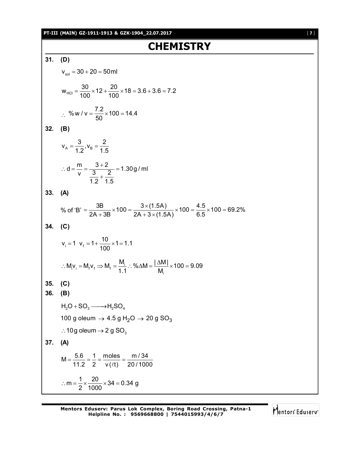## **PT-III (MAIN) GZ-1911-1913 & GZK-1904\_22.07.2017** [ **7** ]

# **CHEMISTRY**

**31. (D)**  $v_{\rm sol} = 30 + 20 = 50$  ml  $W_{HCI} = \frac{30}{100} \times 12 + \frac{20}{100} \times 18 = 3.6 + 3.6 = 7.2$  $100$  100  $=\frac{88}{100} \times 12 + \frac{28}{100} \times 18 = 3.6 + 3.6 =$  $\therefore$  % w / v =  $\frac{7.2}{50} \times 100 = 14.4$ 50  $=\frac{1}{2} \times 100 =$ **32. (B)**  $A = A \cdot B$  $V_{A} = \frac{3}{1.8}$ ,  $V_{B} = \frac{2}{1.5}$  $1.2^{7}$   $8$  1.5  $=\frac{6}{4.8}$ ,  $V_B =$  $d = \frac{m}{n} = \frac{3+2}{2} = 1.30g$  / ml  $v$   $3$   $1$ 1.2 1.5  $\therefore$  d =  $\frac{m}{2}$  =  $\frac{3+2}{2}$  = 2  $^{+}$ **33. (A)** % of 'B' =  $\frac{3B}{2A + 3B} \times 100 = \frac{3 \times (1.5A)}{2A + 3 \times (1.5A)} \times 100 = \frac{4.5}{6.5} \times 100 = 69.2\%$  $=\frac{3B}{24.00} \times 100 = \frac{3 \times (1.5A)}{24.00 \times 100} \times 100 = \frac{4.5}{2.5} \times 100 = 6$  $+3B$  2A + 3  $\times$  ( **34. (C)**  $v_i = 1$   $v_f = 1 + \frac{10}{100} \times 1 = 1.1$ 100  $= 1$   $V_f = 1 + \frac{18}{100} \times 1 =$  $i_{\rm i}$  v<sub>i</sub> = M<sub>f</sub>  $\Rightarrow$  M<sub>f</sub> =  $\frac{m_{\rm i}}{4}$ i  $M_i v_i = M_f v_f \Rightarrow M_f = \frac{M_i}{M}$  : % $\Delta M = \frac{|\Delta M|}{M} \times 100 = 9.09$  $1.1$  M  $\therefore$  M<sub>i</sub> $v_i = M_f v_f \Rightarrow M_f = \frac{M_i}{M}$   $\therefore$  % $\triangle M = \frac{|\triangle M|}{M} \times 100 =$  9 **35. (C) 36. (B)**  $H_2O + SO_3 \longrightarrow H_2SO_4$ 100 g oleum  $\rightarrow$  4.5 g H<sub>2</sub>O  $\rightarrow$  20 g SO<sub>3</sub>  $\therefore$  10g oleum  $\rightarrow$  2 g SO<sub>3</sub> **37. (A)**  $M = \frac{5.6}{11.8} = \frac{1}{8} = \frac{moles}{100} = \frac{m/34}{88.438}$ 11.2 2  $v(\ell t)$  20/1000  $=\frac{0.6}{44.8}=\frac{1}{8}=\frac{110000}{400}=$  $\ell$  $m = \frac{1}{2} \times \frac{20}{1000} \times 34 = 0.34$  g 2 1000  $\therefore$  m =  $\frac{1}{2} \times \frac{20}{1000} \times 34 = 0$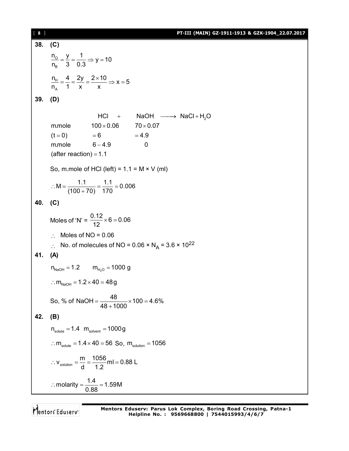[ **8** ] **PT-III (MAIN) GZ-1911-1913 & GZK-1904\_22.07.2017 38. (C)**  $\circ$ B  $\frac{n_o}{n} = \frac{y}{n} = \frac{1}{n} \Rightarrow y = 10$  $n_{\rm B}$  3 0.3  $=\frac{y}{2}=\frac{1}{2} \Rightarrow y=$ H A  $n_{\rm H} = \frac{4}{1} = \frac{2y}{1} = \frac{2 \times 10}{1} \Rightarrow x = 5$  $n_A$  1 x x  $=\frac{4}{4}=\frac{2y}{4}=\frac{2\times10}{3} \Rightarrow x=5$ **39. (D)**  $HCl + NaOH \longrightarrow NaCl + H<sub>2</sub>O$ m.mole  $100 \times 0.06$   $70 \times 0.07$  $(t = 0)$   $= 6$   $= 4.9$  $m$ .mole  $6 - 4.9$  0 (after reaction) =  $1.1$ So, m.mole of HCl (left) =  $1.1 = M \times V$  (ml)  $M = \frac{1.1}{(100 - 70)} = \frac{1.1}{170} = 0.006$  $(100+70)$  170  $\therefore M = \frac{111}{(122 - 72)} = \frac{111}{172} = 0$  $^{+}$ **40. (C)** Moles of 'N' =  $\frac{0.12}{12} \times 6 = 0.06$ 12  $\times 6 = 0$  $\therefore$  Moles of NO = 0.06  $\therefore$  No. of molecules of NO = 0.06 × N<sub>A</sub> = 3.6 × 10<sup>22</sup> **41. (A)**  $n_{\text{NaOH}} = 1.2$  m<sub>H<sub>2</sub>O = 1000 g</sub> :  $m_{\text{NaOH}} = 1.2 \times 40 = 48 g$ So, % of NaOH =  $\frac{48}{100} \times 100 = 4.6\%$  $48 + 1000$  $=\frac{18}{10} \times 100 = 4$  $^{+}$ **42. (B)**  $n_{\text{solute}} = 1.4 \ m_{\text{solvent}} = 1000g$  $\therefore$  m<sub>solute</sub> = 1.4  $\times$  40 = 56 So, m<sub>solution</sub> = 1056  $v_{\text{solution}} = \frac{m}{d} = \frac{1056}{12}$ ml = 0.88 L d 1.2  $\therefore$  V<sub>solution</sub> =  $\frac{11}{1}$  =  $\frac{1888}{1}$  ml = 0 molarity =  $\frac{1.4}{0.00}$  = 1.59M 0.88  $\therefore$  molarity =  $\frac{1}{2.22}$  = 1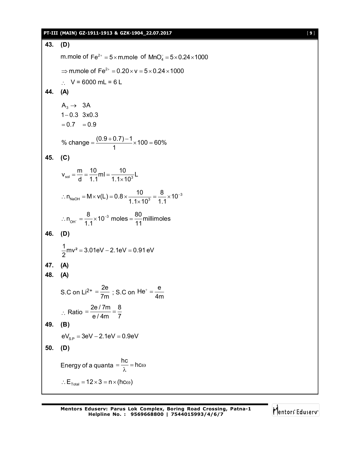### **PT-III (MAIN) GZ-1911-1913 & GZK-1904\_22.07.2017** [ **9** ]

**43. (D)** m.mole of Fe<sup>2+</sup> = 5 $\times$ m.mole of MnO $_4^-$  = 5 $\times$ 0.24 $\times$ 1000  $\Rightarrow$  m.mole of Fe<sup>2+</sup> = 0.20 × v = 5 × 0.24 × 1000  $V = 6000$  mL = 6 L **44. (A)**  $\mathsf{A_3}\rightarrow \mathsf{3A}$  $1 - 0.3$  3x0.3  $= 0.7 = 0.9$ % change =  $\frac{(0.9 + 0.7) - 1}{4}$  × 100 = 60% 1  $=\frac{(0.9+0.7)-1}{4}\times 100=6$ **45. (C)**  $v_{sol} = \frac{m}{d} = \frac{10}{1.1}ml = \frac{10}{1.1 \times 10^{3}}L$ d  $1.1$   $1.1 \times 10$  $=\frac{...}{1}=\frac{10}{11}$  ml = - $\times$  $n_{\text{NaOH}} = M \times v(L) = 0.8 \times \frac{10}{1.1 \times 10^{3}} = \frac{8}{1.1} \times 10^{-3}$  $1.1 \times 10^3$  1.1  $\therefore$  n<sub>NaOH</sub> = M × V(L) = 0.8 ×  $\frac{10}{1.4 \times 10^{3}}$  =  $\frac{0}{1.4 \times 10^{-7}}$  $\times$ 3  $n_{\text{OH}^{-}} = \frac{8}{1.1} \times 10^{-3} \text{ moles} = \frac{80}{1.1} \text{millimoles}$ ∴  $n_{\text{OH}^{-}} = \frac{6}{1.1} \times 10^{-3} \text{ moles} = \frac{60}{11}$ **46. (D)**  $\frac{1}{6}$ mv<sup>2</sup> = 3.01eV – 2.1eV = 0.91 eV 2  $=3.01$ eV  $-2.1$ eV  $=0$ **47. (A) 48. (A)** S.C on Li<sup>2+</sup> =  $\frac{2e}{7m}$  ; S.C on He<sup>+</sup> =  $\frac{e}{4m}$ 4m  $t =$  $\therefore$  Ratio 2e / 7m 8 e / 4m 7  $=\frac{267.1111}{4.4}$ **49. (B)**  $eV_{\rm SP} = 3eV - 2.1eV = 0.9eV$ **50. (D)** Energy of a quanta  $=\frac{hc}{\lambda}=hc\omega$  $\lambda$ :  $E_{\text{Total}} = 12 \times 3 = n \times (hc \omega)$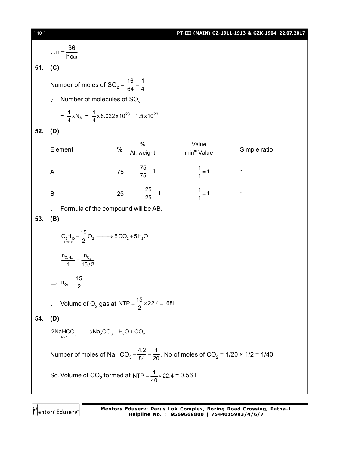[ **10** ] **PT-III (MAIN) GZ-1911-1913 & GZK-1904\_22.07.2017**  $n = \frac{36}{1}$ hc  $\therefore n = \frac{1}{2}$  $\omega$ **51. (C)** Number of moles of SO<sub>2</sub> =  $\frac{16}{64}$  =  $\frac{1}{4}$  $\frac{18}{64} = \frac{1}{4}$  $\therefore$  Number of molecules of SO<sub>2</sub>  $=\frac{1}{4}xN_A = \frac{1}{4}x6.022x10^{23} = 1.5x10^{23}$ **52. (D) Element** % At. weight min<sup>m</sup> Value min<sup>m</sup> Value Simple ratio A 75  $\frac{75}{75} = 1$   $\frac{1}{1} = 1$  1 B 25  $\frac{25}{25} = 1$   $\frac{1}{1} = 1$  1  $\therefore$  Formula of the compound will be AB. **53. (B)**  $\mathsf{C}_5\mathsf{H}_{10}$  +  $\frac{15}{2}\mathsf{O}_2$  -------> 5CO<sub>2</sub> + 5H<sub>2</sub>O  $n_{C_5H_{10}}$  –  $n_{O_2}$  $\frac{1}{1}$   $\frac{1}{1}$   $\frac{1}{15/2}$  $\Rightarrow$   $n_{o_2}$  $n_{O_2} = \frac{15}{2}$ ∴ Volume of O<sub>2</sub> gas at NTP =  $\frac{15}{2}$  × 22.4=168L. **54. (D)**  $2$ NaHCO<sub>3</sub>  $\longrightarrow$ Na<sub>2</sub>CO<sub>3</sub> + H<sub>2</sub>O + CO<sub>2</sub><br><sup>4.2g</sup> Number of moles of NaHCO<sub>3</sub> =  $\frac{4.2}{84}$  =  $\frac{1}{20}$  $=$   $\frac{12}{84}$  =  $\frac{1}{20}$ , No of moles of CO<sub>2</sub> = 1/20 × 1/2 = 1/40 So, Volume of CO<sub>2</sub> formed at NTP =  $\frac{1}{40}$  × 22.4 = 0.56 L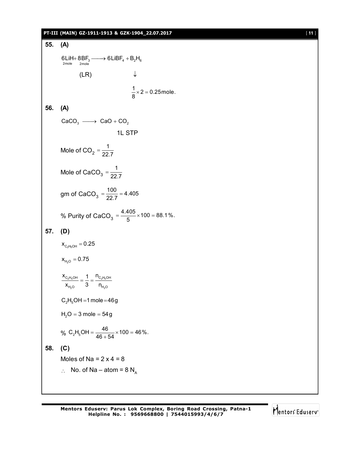## **PT-III (MAIN) GZ-1911-1913 & GZK-1904\_22.07.2017** [ **11** ]

```
55. (A)
           6LIH + 8BF_3 \longrightarrow 6LIBF_4 + B_2H_6<br>
2mole 2mole(LR) \downarrow\frac{1}{8} × 2 = 0.25 mole.
56. (A)
          CaCO<sub>3</sub> \longrightarrow CaO + CO<sub>2</sub>
                                                1L STP
          Mole of CO<sub>2</sub> = \frac{1}{22}=\frac{1}{22.7}Mole of CaCO<sub>3</sub> = \frac{1}{22}=\frac{1}{22.7}gm of CaCO<sub>3</sub> = \frac{100}{22.7} = 4.405
          % Purity of CaCO<sub>3</sub> = \frac{4.405}{5} × 100 = 88.1%.
57. (D)
           \mathsf{X}_{\mathsf{C_2H_5OH}} = 0.25\mathsf{x}_{_{\mathsf{H}_2\mathsf{O}}}^{}=0.752 5 2 5
                 2^{\circ} \BoxC<sub>2</sub>H<sub>5</sub>OH I 'C<sub>2</sub>H<sub>5</sub>OH
               _{H_2O} \bullet _{H_2O}x_{C_2H_5OH} 1 n<sub>o</sub>
             \frac{c_{2}n_{5}m}{x_{H_0}} = \frac{1}{3} = \frac{c_{2}n_{5}}{n_{F}}C_2H_5OH = 1 mole = 46g
          H_2O = 3 mole = 54g
          % C<sub>2</sub>H<sub>5</sub>OH = \frac{46}{46 + 54} × 100 = 46%.
58. (C)
          Moles of Na = 2 \times 4 = 8\therefore No. of Na – atom = 8 N<sub>A</sub>
```
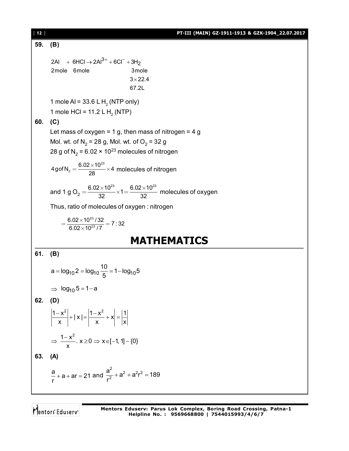[ **12** ] **PT-III (MAIN) GZ-1911-1913 & GZK-1904\_22.07.2017 59. (B)** 2Al + 6HCl → 2Al<sup>3+</sup> + 6Cl<sup>-</sup> + 3H<sub>2</sub> 2mole 6mole 3mole  $3 \times 22.4$  67.2L 1 mole AI = 33.6 L  $H<sub>2</sub>$  (NTP only) 1 mole HCl = 11.2 L H<sub>2</sub> (NTP) **60. (C)** Let mass of oxygen = 1 g, then mass of nitrogen = 4 g Mol. wt. of N<sub>2</sub> = 28 g, Mol. wt. of O<sub>2</sub> = 32 g 28 g of N<sub>2</sub> = 6.02 × 10<sup>23</sup> molecules of nitrogen 23  $4$ gof N<sub>2</sub> =  $\frac{6.02 \times 10^{23}}{28} \times 4$  $=\frac{6.02\times10^{23}}{20}\times4$  molecules of nitrogen and 1 g O $_2 = \frac{6.02\times10^{23}}{32}{\times}1 = \frac{6.02\times10^{23}}{32}$ 32 32  $=\frac{6.02\times10^{23}}{20\times10^{23}}\times1=\frac{6.02\times10^{23}}{20\times10^{23}}$  molecules of oxygen Thus, ratio of molecules of oxygen : nitrogen 23  $\frac{6.02 \times 10^{23} / 32}{6.02 \times 10^{23} / 7} = 7:32$  $=\frac{6.02\times10^{23}/32}{6.02\times10^{23}/7}=$ **MATHEMATICS 61. (B)**  $a = log_{10} 2 = log_{10} \frac{10}{5} = 1 - log_{10} 5$ 5 =  $log_{10} 2 = log_{10} \frac{16}{5} = 1 - 1$  $\Rightarrow$  log<sub>10</sub> 5 = 1 - a **62. (D)**  $\left|\frac{1-x^2}{x}\right| + |x| = \left|\frac{1-x^2}{x^2} + x\right| = \left|\frac{1}{x}\right|$  $x \mid$  x  $x$   $x$  $\left|\frac{-x^2}{x}\right| + |x| = \left|\frac{1-x^2}{x} + x\right| = \left|\frac{1}{x}\right|$  $\frac{1-x^2}{x}$ .  $x \ge 0 \Rightarrow x \in [-1, 1] - \{0\}$ x  $\Rightarrow$   $\frac{1-x^2}{x}$ .  $x \ge 0 \Rightarrow x \in [-1, 1] - \{$ **63. (A)** a<br>— + a + ar = 21 r  $+$  a  $+$  ar  $=$  21 and 2<br> $\sqrt{2^2 + 2^2r^2}$ 2  $\frac{a^2}{2}$  +  $a^2$  +  $a^2$ r<sup>2</sup> = 189 r  $+ a<sup>2</sup> + a<sup>2</sup>r<sup>2</sup> = 1$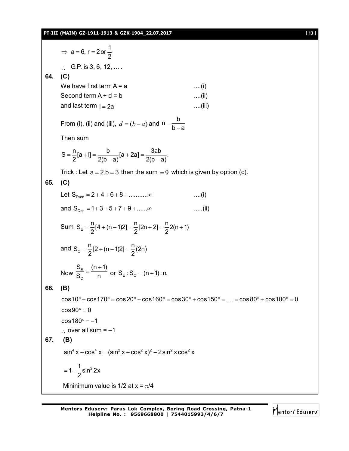## **PT-III (MAIN) GZ-1911-1913 & GZK-1904\_22.07.2017** [ **13** ]

⇒ a = 6, r = 2 or 
$$
\frac{1}{2}
$$
  
\n∴ G.P. is 3, 6, 12, ....  
\n64. (C)  
\nWe have first term A = a  
\nSecond term A + d = b  
\nand last term 1 = 2a  
\nFrom (i), (ii) and (iii), d = (b - a) and n =  $\frac{b}{b-a}$   
\nThen sum  
\n
$$
S = \frac{n}{2}[a+1] = \frac{b}{2(b-a)}[a+2a] = \frac{3ab}{2(b-a)}
$$
\nTrick: Let a = 2, b = 3 then the sum = 9 which is given by option (c).  
\n65. (C)  
\nLet S<sub>even</sub> = 2+4+6+8+............∞ ....(i)  
\nand S<sub>odd</sub> = 1+3+5+7+9+......∞ ....(ii)  
\nSum S<sub>E</sub> =  $\frac{n}{2}[2+(n-1)2] = \frac{n}{2}(2n+2] = \frac{n}{2}2(n+1)$   
\nand S<sub>0</sub> =  $\frac{n}{2}[2+(n-1)2] = \frac{n}{2}(2n)$   
\nNow  $\frac{S_{E}}{S_{0}} = \frac{(n+1)}{n}$  or S<sub>E</sub>: S<sub>0</sub> = (n+1):n.  
\n66. (B)  
\n $\cos 10^{\circ} + \cos 170^{\circ} = \cos 20^{\circ} + \cos 160^{\circ} = \cos 30^{\circ} + \cos 150^{\circ} = .... = \cos 80^{\circ} + \cos 100^{\circ} = 0$   
\n $\cos 80^{\circ} = 0$   
\n $\cos 10^{\circ} + \cos 170^{\circ} = \cos 20^{\circ} + \cos 160^{\circ} = \cos 30^{\circ} + \cos 150^{\circ} = .... = \cos 80^{\circ} + \cos 100^{\circ} = 0$   
\n $\cos 80^{\circ} = -1$   
\n∴ over all sum = -1  
\n67. (B)  
\n $\sin^{4} x + \cos^{4} x = (\sin^{2} x + \cos^{2} x)^{2} - 2\sin^{2} x \cos^{2} x$   
\n $= 1 - \frac{1}{2} \sin^{2} 2x$   
\

Mentors<sup>e</sup> Eduserv<sup>-</sup>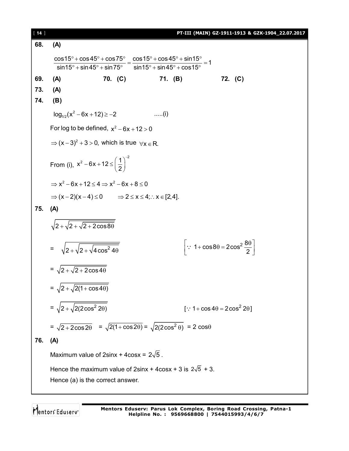| $[14]$ |                                                                                                                                                                                                                                         |         |             | PT-III (MAIN) GZ-1911-1913 & GZK-1904_22.07.2017                     |  |  |  |
|--------|-----------------------------------------------------------------------------------------------------------------------------------------------------------------------------------------------------------------------------------------|---------|-------------|----------------------------------------------------------------------|--|--|--|
| 68.    | (A)                                                                                                                                                                                                                                     |         |             |                                                                      |  |  |  |
|        |                                                                                                                                                                                                                                         |         |             |                                                                      |  |  |  |
|        | $\frac{\cos 15^{\circ} + \cos 45^{\circ} + \cos 75^{\circ}}{\sin 15^{\circ} + \sin 45^{\circ} + \sin 75^{\circ}} = \frac{\cos 15^{\circ} + \cos 45^{\circ} + \sin 15^{\circ}}{\sin 15^{\circ} + \sin 45^{\circ} + \cos 15^{\circ}} = 1$ |         |             |                                                                      |  |  |  |
| 69.    | (A)                                                                                                                                                                                                                                     | 70. (C) | 71. (B)     | 72. (C)                                                              |  |  |  |
| 73.    | (A)                                                                                                                                                                                                                                     |         |             |                                                                      |  |  |  |
| 74.    | (B)                                                                                                                                                                                                                                     |         |             |                                                                      |  |  |  |
|        | $log_{10}(x^2-6x+12) \ge -2$                                                                                                                                                                                                            |         | $\dots$ (i) |                                                                      |  |  |  |
|        | For log to be defined, $x^2 - 6x + 12 > 0$                                                                                                                                                                                              |         |             |                                                                      |  |  |  |
|        | $\Rightarrow$ $(x-3)^2 + 3 > 0$ , which is true $\forall x \in R$ .                                                                                                                                                                     |         |             |                                                                      |  |  |  |
|        |                                                                                                                                                                                                                                         |         |             |                                                                      |  |  |  |
|        | From (i), $x^2 - 6x + 12 \le \left(\frac{1}{2}\right)^{-2}$                                                                                                                                                                             |         |             |                                                                      |  |  |  |
|        | $\Rightarrow$ x <sup>2</sup> - 6x + 12 $\leq$ 4 $\Rightarrow$ x <sup>2</sup> - 6x + 8 $\leq$ 0                                                                                                                                          |         |             |                                                                      |  |  |  |
|        | $\Rightarrow$ $(x-2)(x-4) \le 0$ $\Rightarrow$ $2 \le x \le 4$ ; $\therefore$ $x \in [2,4]$ .                                                                                                                                           |         |             |                                                                      |  |  |  |
| 75.    | (A)                                                                                                                                                                                                                                     |         |             |                                                                      |  |  |  |
|        |                                                                                                                                                                                                                                         |         |             |                                                                      |  |  |  |
|        | $\sqrt{2+\sqrt{2+\sqrt{2+2\cos 8\theta}}}$                                                                                                                                                                                              |         |             |                                                                      |  |  |  |
|        |                                                                                                                                                                                                                                         |         |             | $\left \because 1 + \cos 8\theta = 2\cos^2 \frac{8\theta}{2}\right $ |  |  |  |
|        | = $\sqrt{2 + \sqrt{2 + \sqrt{4 \cos^2 4\theta}}}$                                                                                                                                                                                       |         |             |                                                                      |  |  |  |
|        | $=\sqrt{2+\sqrt{2+2\cos 4\theta}}$                                                                                                                                                                                                      |         |             |                                                                      |  |  |  |
|        |                                                                                                                                                                                                                                         |         |             |                                                                      |  |  |  |
|        | = $\sqrt{2 + \sqrt{2(1 + \cos 4\theta)}}$                                                                                                                                                                                               |         |             |                                                                      |  |  |  |
|        | = $\sqrt{2 + \sqrt{2(2\cos^2 2\theta)}}$                                                                                                                                                                                                |         |             | [: $1 + \cos 4\theta = 2\cos^2 2\theta$ ]                            |  |  |  |
|        |                                                                                                                                                                                                                                         |         |             |                                                                      |  |  |  |
|        | = $\sqrt{2 + 2\cos 2\theta}$ = $\sqrt{2(1 + \cos 2\theta)}$ = $\sqrt{2(2\cos^2 \theta)}$ = 2 cos $\theta$                                                                                                                               |         |             |                                                                      |  |  |  |
| 76.    | (A)                                                                                                                                                                                                                                     |         |             |                                                                      |  |  |  |
|        | Maximum value of 2sinx + 4cosx = $2\sqrt{5}$ .                                                                                                                                                                                          |         |             |                                                                      |  |  |  |
|        | Hence the maximum value of $2\sin x + 4\cos x + 3$ is $2\sqrt{5} + 3$ .                                                                                                                                                                 |         |             |                                                                      |  |  |  |
|        | Hence (a) is the correct answer.                                                                                                                                                                                                        |         |             |                                                                      |  |  |  |
|        |                                                                                                                                                                                                                                         |         |             |                                                                      |  |  |  |

Mentors<sup>e</sup> Eduserv-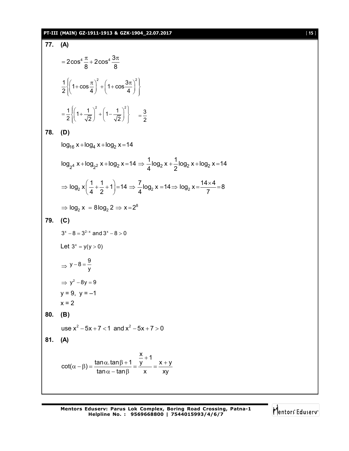# **PT-III (MAIN) GZ-1911-1913 & GZK-1904\_22.07.2017** [ **15** ]

77. (A)  
\n
$$
= 2\cos^4 \frac{\pi}{8} + 2\cos^4 \frac{3\pi}{8}
$$
\n
$$
\frac{1}{2} \left\{ \left( 1 + \cos \frac{\pi}{4} \right)^2 + \left( 1 - \frac{1}{\sqrt{2}} \right)^2 \right\} = \frac{3}{2}
$$
\n78. (D)  
\n
$$
\log_{16} x + \log_4 x + \log_2 x = 14
$$
\n
$$
\log_{24} x + \log_{22} x + \log_2 x = 14 \Rightarrow \frac{1}{4} \log_2 x + \frac{1}{2} \log_2 x + \log_2 x = 14
$$
\n
$$
\Rightarrow \log_2 x \left( \frac{1}{4} + \frac{1}{2} + 1 \right) = 14 \Rightarrow \frac{7}{4} \log_2 x = 14 \Rightarrow \log_2 x = \frac{14 \times 4}{7} = 8
$$
\n
$$
\Rightarrow \log_2 x = 8 \log_2 2 \Rightarrow x = 2^8
$$
\n79. (C)  
\n
$$
3^x - 8 = 3^{2-x} \text{ and } 3^x - 8 > 0
$$
\nLet  $3^x = y(y > 0)$   
\n
$$
\Rightarrow y - 8 = \frac{9}{y}
$$
\n
$$
\Rightarrow y^2 - 8y = 9
$$
\n
$$
y = 9, y = -1
$$
\n
$$
x = 2
$$
\n80. (B)  
\n
$$
\log x^2 - 5x + 7 < 1 \text{ and } x^2 - 5x + 7 > 0
$$
\n81. (A)  
\n
$$
\cot(\alpha - \beta) = \frac{\tan \alpha . \tan \beta + 1}{\tan \alpha - \tan \beta} = \frac{\frac{x}{x} + 1}{x} = \frac{x + y}{xy}
$$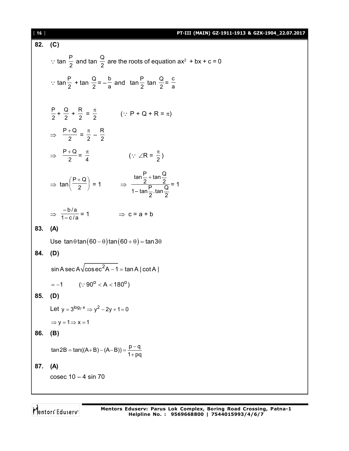# [ **16** ] **PT-III (MAIN) GZ-1911-1913 & GZK-1904\_22.07.2017**

82. (C)  
\n
$$
\therefore \tan \frac{P}{2} \text{ and } \tan \frac{Q}{2} \text{ are the roots of equation } ax^2 + bx + c = 0
$$
\n
$$
\therefore \tan \frac{P}{2} + \tan \frac{Q}{2} = -\frac{b}{a} \text{ and } \tan \frac{P}{2} \tan \frac{Q}{2} = \frac{c}{a}
$$
\n
$$
\frac{P}{2} + \frac{Q}{2} + \frac{R}{2} = \frac{\pi}{2} \qquad (\because P + Q + R = \pi)
$$
\n
$$
\Rightarrow \frac{P + Q}{2} = \frac{\pi}{2} - \frac{R}{2}
$$
\n
$$
\Rightarrow \frac{P + Q}{2} = \frac{\pi}{4} \qquad (\because \angle R = \frac{\pi}{2})
$$
\n
$$
\Rightarrow \tan \left(\frac{P + Q}{2}\right) = 1 \qquad \Rightarrow \frac{\tan \frac{P}{2} + \tan \frac{Q}{2}}{1 - \tan \frac{P}{2} \cdot \tan \frac{Q}{2}} = 1
$$
\n
$$
\Rightarrow \frac{-b/a}{1 - c/a} = 1 \qquad \Rightarrow c = a + b
$$
\n83. (A)  
\nUse  $\tan \theta \tan (60 - \theta) \tan (60 + \theta) = \tan 3\theta$   
\n84. (D)  
\n
$$
\sin A \sec A \sqrt{\csc^2 A - 1} = \tan A |\cot A|
$$
\n
$$
= -1 \qquad (\because 90^{\circ} < A < 180^{\circ})
$$
\n85. (D)  
\nLet  $y = 3^{\log_7 x} \Rightarrow y^2 - 2y + 1 = 0$   
\n
$$
\Rightarrow y = 1 \Rightarrow x = 1
$$
\n86. (B)  
\n
$$
\tan 2B = \tan((A + B) - (A - B)) = \frac{p - q}{1 + pq}
$$
\n87. (A)  
\n
$$
\csc 2A = 1 - 4 \sin 70
$$

Mentors<sup>®</sup> Eduserv<sup>®</sup>